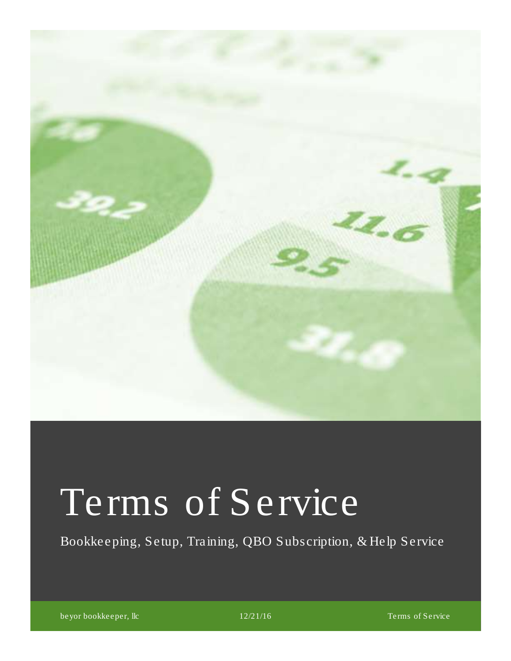

Bookkeeping, Setup, Training, QBO Subscription, & Help Service

beyor bookkeeper, llc 12/21/16 Terms of Service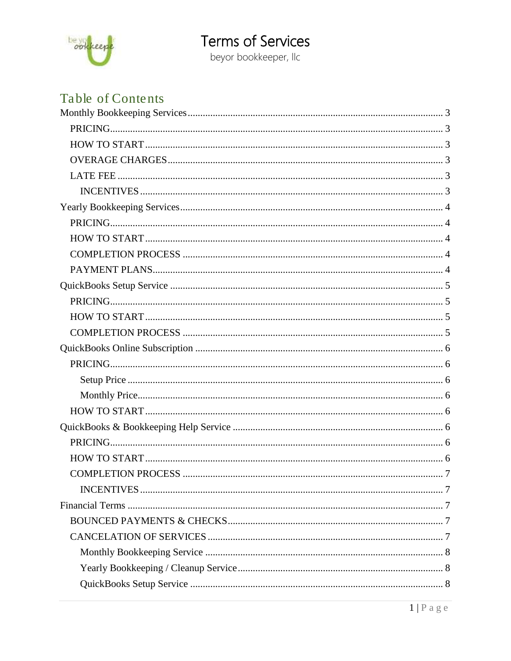

beyor bookkeeper, Ilc

## Table of Contents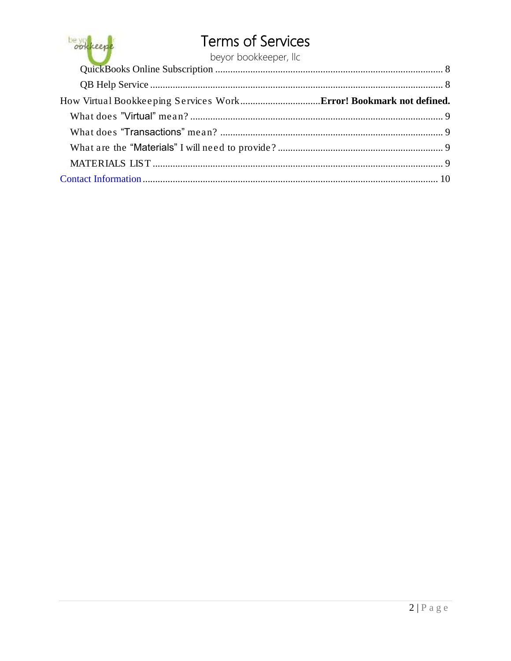

beyor bookkeeper, Ilc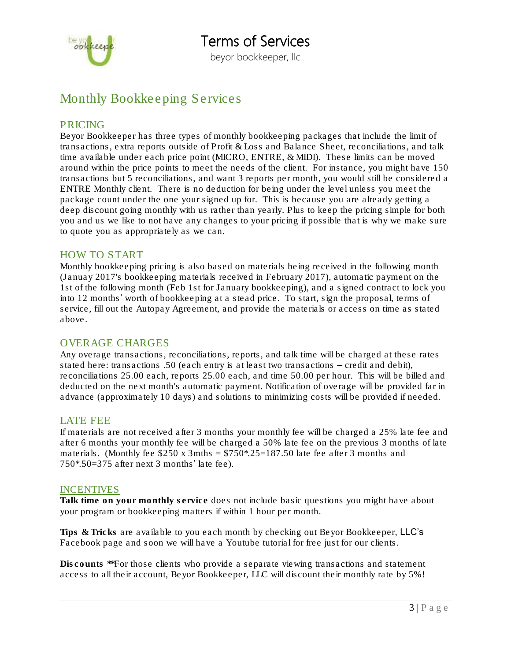

## <span id="page-3-0"></span>Monthly Bookkeeping Services

#### <span id="page-3-1"></span>PRICING

Beyor Bookkeeper has three types of monthly bookkeeping packages that include the limit of transactions, extra reports outside of Profit & Loss and Balance Sheet, reconciliations, and talk time available under each price point (MICRO, ENTRE, & MIDI). These limits can be moved around within the price points to meet the needs of the client. For instance, you might have 150 transactions but 5 reconciliations, and want 3 reports per month, you would still be considered a ENTRE Monthly client. There is no deduction for being under the level unless you meet the package count under the one your signed up for. This is because you are already getting a deep discount going monthly with us rather than yearly. Plus to keep the pricing simple for both you and us we like to not have any changes to your pricing if possible that is why we make sure to quote you as appropriately as we can.

#### <span id="page-3-2"></span>HOW TO START

Monthly bookkeeping pricing is also based on materials being received in the following month (Januay 2017's bookkeeping materials received in February 2017), automatic payment on the 1st of the following month (Feb 1st for January bookkeeping), and a signed contract to lock you into 12 months' worth of bookkeeping at a stead price. To start, sign the proposal, terms of service, fill out the Autopay Agreement, and provide the materials or access on time as stated above.

#### <span id="page-3-3"></span>OVERAGE CHARGES

Any overage transactions, reconciliations, reports, and talk time will be charged at these rates stated here: transactions .50 (each entry is at least two transactions – credit and debit), reconciliations 25.00 each, reports 25.00 each, and time 50.00 per hour. This will be billed and deducted on the next month's automatic payment. Notification of overage will be provided far in advance (approximately 10 days) and solutions to minimizing costs will be provided if needed.

#### <span id="page-3-4"></span>LATE FEE

If materials are not received after 3 months your monthly fee will be charged a 25% late fee and after 6 months your monthly fee will be charged a 50% late fee on the previous 3 months of late materials. (Monthly fee  $$250 \times 3$ mths =  $$750*.25=187.50$  late fee after 3 months and 750\*.50=375 after next 3 months' late fee).

#### <span id="page-3-5"></span>**INCENTIVES**

Talk time on your monthly service does not include basic questions you might have about your program or bookkeeping matters if within 1 hour per month.

Tips & Tricks are available to you each month by checking out Beyor Bookkeeper, LLC's Facebook page and soon we will have a Youtube tutorial for free just for our clients.

Discounts \*For those clients who provide a separate viewing transactions and statement access to all their account, Beyor Bookkeeper, LLC will discount their monthly rate by 5%!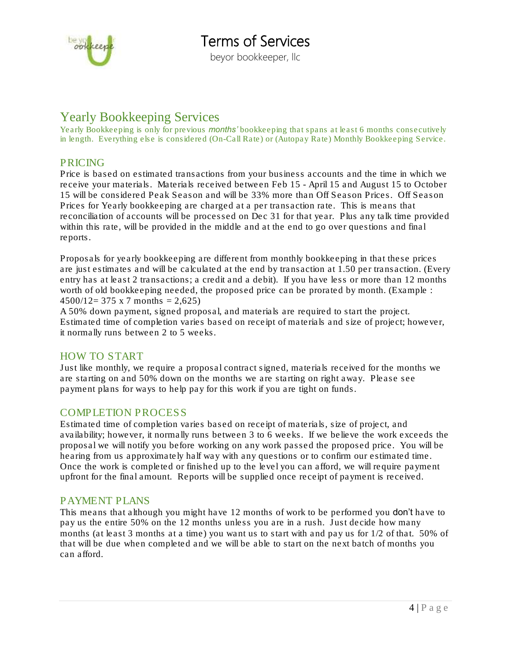

## <span id="page-4-0"></span>Yearly Bookkeeping Services

*Yearly Bookkeeping is only for previous months' bookkeeping that spans at least 6 months consecutively in length. Everything else is considered (On-Call Rate) or (Autopay Rate) Monthly Bookkeeping Service.*

#### <span id="page-4-1"></span>**PRICING**

Price is based on estimated transactions from your business accounts and the time in which we receive your materials. Materials received between Feb 15 - April 15 and August 15 to October 15 will be considered Peak Season and will be 33% more than Off Season Prices. Off Season Prices for Yearly bookkeeping are charged at a per transaction rate. This is means that reconciliation of accounts will be processed on Dec 31 for that year. Plus any talk time provided within this rate, will be provided in the middle and at the end to go over questions and final reports.

Proposals for yearly bookkeeping are different from monthly bookkeeping in that these prices are just estimates and will be calculated at the end by transaction at 1.50 per transaction. (Every entry has at least 2 transactions; a credit and a debit). If you have less or more than 12 months worth of old bookkeeping needed, the proposed price can be prorated by month. (Example :  $4500/12 = 375 \times 7$  months = 2,625)

A 50% down payment, signed proposal, and materials are required to start the project. Estimated time of completion varies based on receipt of materials and size of project; however, it normally runs between 2 to 5 weeks.

#### <span id="page-4-2"></span>HOW TO START

Just like monthly, we require a proposal contract signed, materials received for the months we are starting on and 50% down on the months we are starting on right away. Please see payment plans for ways to help pay for this work if you are tight on funds.

#### <span id="page-4-3"></span>COMPLETION PROCESS

Estimated time of completion varies based on receipt of materials, size of project, and availability; however, it normally runs between 3 to 6 weeks. If we believe the work exceeds the proposal we will notify you before working on any work passed the proposed price. You will be hearing from us approximately half way with any questions or to confirm our estimated time. Once the work is completed or finished up to the level you can afford, we will require payment upfront for the final amount. Reports will be supplied once receipt of payment is received.

#### <span id="page-4-4"></span>PAYMENT PLANS

This means that although you might have 12 months of work to be performed you don't have to pay us the entire 50% on the 12 months unless you are in a rush. Just decide how many months (at least 3 months at a time) you want us to start with and pay us for 1/2 of that. 50% of that will be due when completed and we will be able to start on the next batch of months you can afford.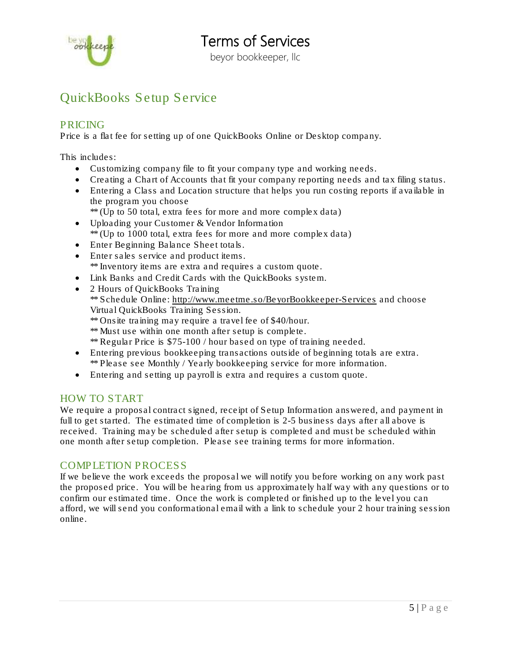

beyor bookkeeper, llc

## <span id="page-5-0"></span>QuickBooks Setup Service

#### <span id="page-5-1"></span>PRICING

Price is a flat fee for setting up of one QuickBooks Online or Desktop company.

This includes:

- Customizing company file to fit your company type and working needs.
- Creating a Chart of Accounts that fit your company reporting needs and tax filing status.
- Entering a Class and Location structure that helps you run costing reports if available in the program you choose
	- \*\* (Up to 50 total, extra fees for more and more complex data)
- Uploading your Customer & Vendor Information \*\* (Up to 1000 total, extra fees for more and more complex data)
- Enter Beginning Balance Sheet totals.
- Enter sales service and product items. \*\* Inventory items are extra and requires a custom quote.
- Link Banks and Credit Cards with the QuickBooks system.
- 2 Hours of QuickBooks Training \*\* Schedule Online: <http://www.meetme.so/BeyorBookkeeper-Services> and choose Virtual QuickBooks Training Session. \*\* Onsite training may require a travel fee of \$40/hour.
	- \*\* Must use within one month after setup is complete.
	- \*\* Regular Price is \$75-100 / hour based on type of training needed.
- Entering previous bookkeeping transactions outside of beginning totals are extra. \*\* Please see Monthly / Yearly bookkeeping service for more information.
- Entering and setting up payroll is extra and requires a custom quote.

#### <span id="page-5-2"></span>HOW TO START

We require a proposal contract signed, receipt of Setup Information answered, and payment in full to get started. The estimated time of completion is 2-5 business days after all above is received. Training may be scheduled after setup is completed and must be scheduled within one month after setup completion. Please see training terms for more information.

#### <span id="page-5-3"></span>COMPLETION PROCESS

If we believe the work exceeds the proposal we will notify you before working on any work past the proposed price. You will be hearing from us approximately half way with any questions or to confirm our estimated time. Once the work is completed or finished up to the level you can afford, we will send you conformational email with a link to schedule your 2 hour training session online.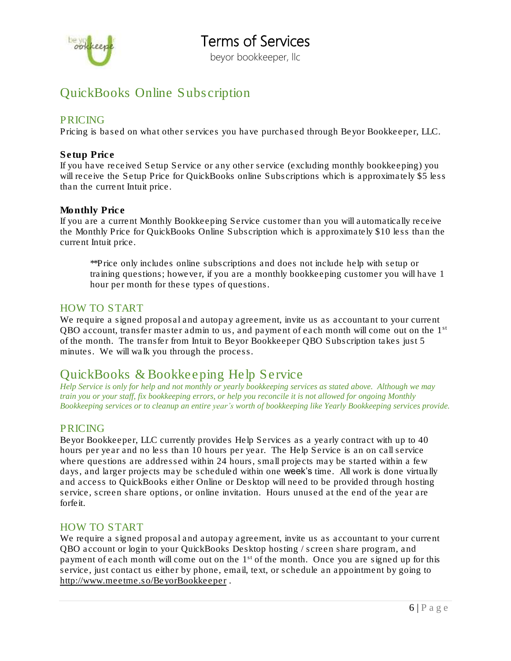

## <span id="page-6-0"></span>QuickBooks Online Subscription

#### <span id="page-6-1"></span>PRICING

Pricing is based on what other services you have purchased through Beyor Bookkeeper, LLC.

#### <span id="page-6-2"></span>Setup Price

If you have received Setup Service or any other service (excluding monthly bookkeeping) you will receive the Setup Price for QuickBooks online Subscriptions which is approximately \$5 less than the current Intuit price.

#### <span id="page-6-3"></span>Monthly Price

If you are a current Monthly Bookkeeping Service customer than you will automatically receive the Monthly Price for QuickBooks Online Subscription which is approximately \$10 less than the current Intuit price.

\*\*Price only includes online subscriptions and does not include help with setup or training questions; however, if you are a monthly bookkeeping customer you will have 1 hour per month for these types of questions.

#### <span id="page-6-4"></span>HOW TO START

We require a signed proposal and autopay agreement, invite us as accountant to your current QBO account, transfer master admin to us, and payment of each month will come out on the 1st of the month. The transfer from Intuit to Beyor Bookkeeper QBO Subscription takes just 5 minutes. We will walk you through the process.

## <span id="page-6-5"></span>QuickBooks & Bookkeeping Help Service

Help Service is only for help and not monthly or yearly bookkeeping services as stated above. Although we may train you or your staff, fix bookkeeping errors, or help you reconcile it is not allowed for ongoing Monthly Bookkeeping services or to cleanup an entire year's worth of bookkeeping like Yearly Bookkeeping services provide.

#### <span id="page-6-6"></span>PRICING

Beyor Bookkeeper, LLC currently provides Help Services as a yearly contract with up to 40 hours per year and no less than 10 hours per year. The Help Service is an on call service where questions are addressed within 24 hours, small projects may be started within a few days, and larger projects may be scheduled within one week's time. All work is done virtually and access to QuickBooks either Online or Desktop will need to be provided through hosting service, screen share options, or online invitation. Hours unused at the end of the year are forfeit.

#### <span id="page-6-7"></span>HOW TO START

We require a signed proposal and autopay agreement, invite us as accountant to your current QBO account or login to your QuickBooks Desktop hosting / screen share program, and payment of each month will come out on the 1<sup>st</sup> of the month. Once you are signed up for this service, just contact us either by phone, email, text, or schedule an appointment by going to <http://www.meetme.so/BeyorBookkeeper> .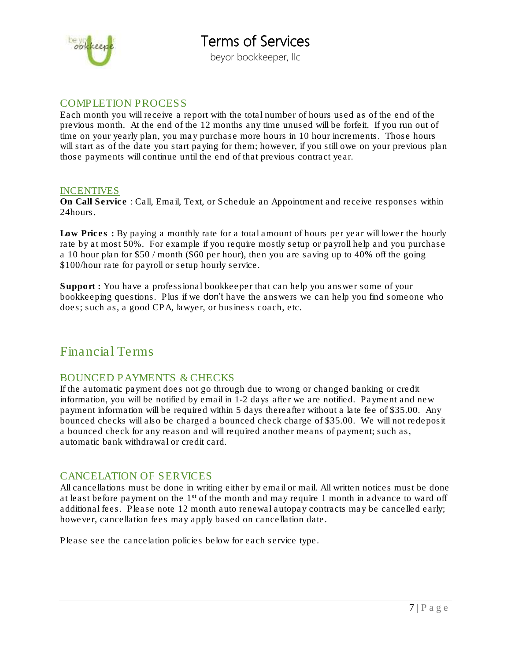

beyor bookkeeper, llc

#### <span id="page-7-0"></span>COMPLETION PROCESS

Each month you will receive a report with the total number of hours used as of the end of the previous month. At the end of the 12 months any time unused will be forfeit. If you run out of time on your yearly plan, you may purchase more hours in 10 hour increments. Those hours will start as of the date you start paying for them; however, if you still owe on your previous plan those payments will continue until the end of that previous contract year.

#### <span id="page-7-1"></span>**INCENTIVES**

On Call Service : Call, Email, Text, or Schedule an Appointment and receive responses within 24hours.

Low Prices : By paying a monthly rate for a total amount of hours per year will lower the hourly rate by at most 50%. For example if you require mostly setup or payroll help and you purchase a 10 hour plan for \$50 / month (\$60 per hour), then you are saving up to 40% off the going \$100/hour rate for payroll or setup hourly service.

Support : You have a professional bookkeeper that can help you answer some of your bookkeeping questions. Plus if we don't have the answers we can help you find someone who does; such as, a good CPA, lawyer, or business coach, etc.

### <span id="page-7-2"></span>Financial Terms

#### <span id="page-7-3"></span>BOUNCED PAYMENTS & CHECKS

If the automatic payment does not go through due to wrong or changed banking or credit information, you will be notified by email in 1-2 days after we are notified. Payment and new payment information will be required within 5 days thereafter without a late fee of \$35.00. Any bounced checks will also be charged a bounced check charge of \$35.00. We will not redeposit a bounced check for any reason and will required another means of payment; such as, automatic bank withdrawal or credit card.

#### <span id="page-7-4"></span>CANCELATION OF SERVICES

All cancellations must be done in writing either by email or mail. All written notices must be done at least before payment on the 1<sup>st</sup> of the month and may require 1 month in advance to ward off additional fees. Please note 12 month auto renewal autopay contracts may be cancelled early; however, cancellation fees may apply based on cancellation date.

Please see the cancelation policies below for each service type.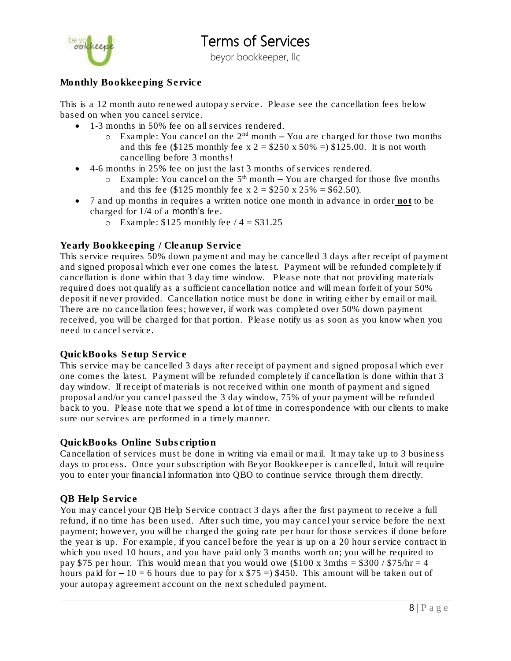

beyor bookkeeper, llc

#### <span id="page-8-0"></span>Monthly Bookkeeping Service

This is a 12 month auto renewed autopay service. Please see the cancellation fees below based on when you cancel service.

- 1-3 months in 50% fee on all services rendered.
	- $\circ$  Example: You cancel on the  $2^{nd}$  month You are charged for those two months and this fee (\$125 monthly fee x 2 = \$250 x 50% = ) \$125.00. It is not worth cancelling before 3 months!
- 4-6 months in 25% fee on just the last 3 months of services rendered.
	- $\circ$  Example: You cancel on the 5<sup>th</sup> month You are charged for those five months and this fee (\$125 monthly fee x 2 = \$250 x 25% = \$62.50).
- 7 and up months in requires a written notice one month in advance in order not to be charged for 1/4 of a month's fee.
	- Example:  $$125$  monthly fee  $/4 = $31.25$

#### <span id="page-8-1"></span>Yearly Bookkeeping / Cleanup Service

This service requires 50% down payment and may be cancelled 3 days after receipt of payment and signed proposal which ever one comes the latest. Payment will be refunded completely if cancellation is done within that 3 day time window. Please note that not providing materials required does not qualify as a sufficient cancellation notice and will mean forfeit of your 50% deposit if never provided. Cancellation notice must be done in writing either by email or mail. There are no cancellation fees; however, if work was completed over 50% down payment received, you will be charged for that portion. Please notify us as soon as you know when you need to cancel service.

#### <span id="page-8-2"></span>QuickBooks Setup Service

This service may be cancelled 3 days after receipt of payment and signed proposal which ever one comes the latest. Payment will be refunded completely if cancellation is done within that 3 day window. If receipt of materials is not received within one month of payment and signed proposal and/or you cancel passed the 3 day window, 75% of your payment will be refunded back to you. Please note that we spend a lot of time in correspondence with our clients to make sure our services are performed in a timely manner.

#### <span id="page-8-3"></span>QuickBooks Online Subscription

Cancellation of services must be done in writing via email or mail. It may take up to 3 business days to process. Once your subscription with Beyor Bookkeeper is cancelled, Intuit will require you to enter your financial information into QBO to continue service through them directly.

#### <span id="page-8-4"></span>QB Help Service

You may cancel your QB Help Service contract 3 days after the first payment to receive a full refund, if no time has been used. After such time, you may cancel your service before the next payment; however, you will be charged the going rate per hour for those services if done before the year is up. For example, if you cancel before the year is up on a 20 hour service contract in which you used 10 hours, and you have paid only 3 months worth on; you will be required to pay \$75 per hour. This would mean that you would owe (\$100 x 3mths =  $$300 / $75/hr = 4$ hours paid for  $-10 = 6$  hours due to pay for x \$75 = \$450. This amount will be taken out of your autopay agreement account on the next scheduled payment.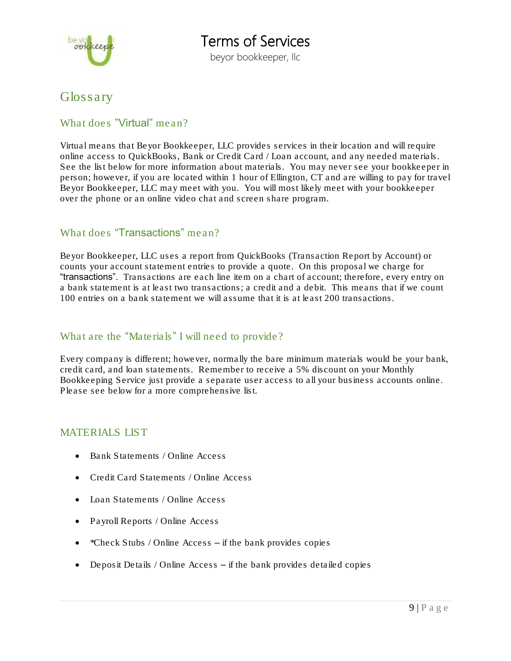

beyor bookkeeper, llc

#### Glossary

#### <span id="page-9-0"></span>What does "Virtual" mean?

Virtual means that Beyor Bookkeeper, LLC provides services in their location and will require online access to QuickBooks, Bank or Credit Card / Loan account, and any needed materials. See the list below for more information about materials. You may never see your bookkeeper in person; however, if you are located within 1 hour of Ellington, CT and are willing to pay for travel Beyor Bookkeeper, LLC may meet with you. You will most likely meet with your bookkeeper over the phone or an online video chat and screen share program.

#### <span id="page-9-1"></span>What does "Transactions" mean?

Beyor Bookkeeper, LLC uses a report from QuickBooks (Transaction Report by Account) or counts your account statement entries to provide a quote. On this proposal we charge for "transactions". Transactions are each line item on a chart of account; therefore, every entry on a bank statement is at least two transactions; a credit and a debit. This means that if we count 100 entries on a bank statement we will assume that it is at least 200 transactions.

#### <span id="page-9-2"></span>What are the "Materials" I will need to provide?

Every company is different; however, normally the bare minimum materials would be your bank, credit card, and loan statements. Remember to receive a 5% discount on your Monthly Bookkeeping Service just provide a separate user access to all your business accounts online. Please see below for a more comprehensive list.

#### <span id="page-9-3"></span>MATERIALS LIST

- Bank Statements / Online Access
- Credit Card Statements / Online Access
- Loan Statements / Online Access
- Payroll Reports / Online Access
- \*Check Stubs / Online Access if the bank provides copies
- $\bullet$  Deposit Details / Online Access if the bank provides detailed copies